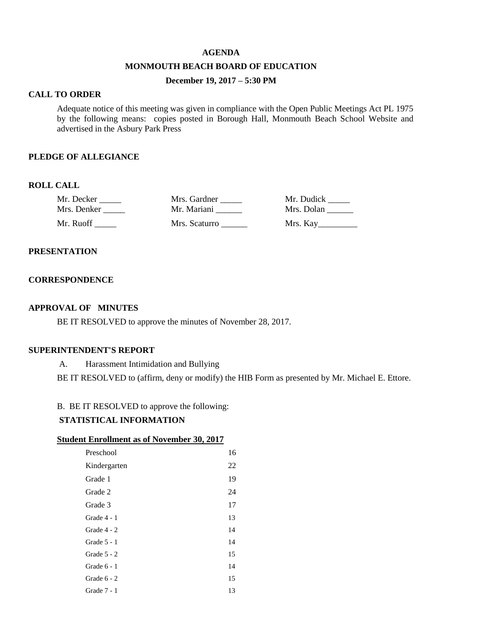#### **AGENDA**

#### **MONMOUTH BEACH BOARD OF EDUCATION**

# **December 19, 2017 – 5:30 PM**

#### **CALL TO ORDER**

Adequate notice of this meeting was given in compliance with the Open Public Meetings Act PL 1975 by the following means: copies posted in Borough Hall, Monmouth Beach School Website and advertised in the Asbury Park Press

#### **PLEDGE OF ALLEGIANCE**

### **ROLL CALL**

| Mr. Decker  | Mrs. Gardner  | Mr. Dudick |
|-------------|---------------|------------|
| Mrs. Denker | Mr. Mariani   | Mrs. Dolan |
| Mr. Ruoff-  | Mrs. Scaturro | Mrs. Kay   |

### **PRESENTATION**

### **CORRESPONDENCE**

#### **APPROVAL OF MINUTES**

BE IT RESOLVED to approve the minutes of November 28, 2017.

#### **SUPERINTENDENT'S REPORT**

A. Harassment Intimidation and Bullying

BE IT RESOLVED to (affirm, deny or modify) the HIB Form as presented by Mr. Michael E. Ettore.

#### B. BE IT RESOLVED to approve the following:

### **STATISTICAL INFORMATION**

#### **Student Enrollment as of November 30, 2017**

| Preschool     | 16 |
|---------------|----|
| Kindergarten  | 22 |
| Grade 1       | 19 |
| Grade 2       | 24 |
| Grade 3       | 17 |
| Grade 4 - 1   | 13 |
| Grade $4 - 2$ | 14 |
| Grade $5 - 1$ | 14 |
| Grade $5 - 2$ | 15 |
| Grade 6 - 1   | 14 |
| Grade $6 - 2$ | 15 |
| Grade 7 - 1   | 13 |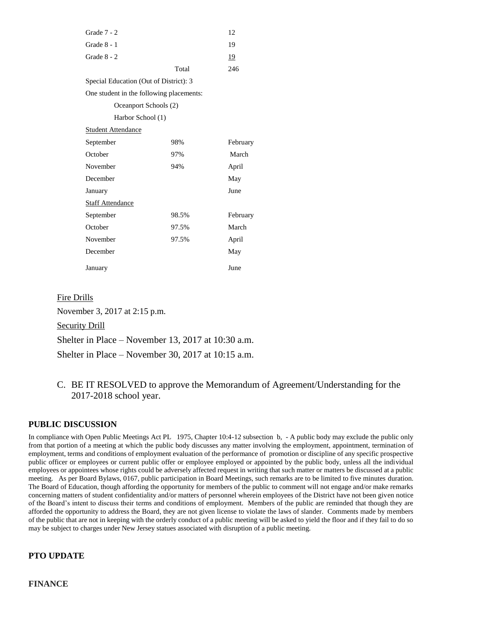| Grade $7 - 2$                            |       | 12        |
|------------------------------------------|-------|-----------|
| Grade $8 - 1$                            |       | 19        |
| Grade $8 - 2$                            |       | <u>19</u> |
|                                          | Total | 246       |
| Special Education (Out of District): 3   |       |           |
| One student in the following placements: |       |           |
| Oceanport Schools (2)                    |       |           |
| Harbor School (1)                        |       |           |
| <b>Student Attendance</b>                |       |           |
| September                                | 98%   | February  |
| October                                  | 97%   | March     |
| November                                 | 94%   | April     |
| December                                 |       | May       |
| January                                  |       | June      |
| <b>Staff Attendance</b>                  |       |           |
| September                                | 98.5% | February  |
| October                                  | 97.5% | March     |
| November                                 | 97.5% | April     |
| December                                 |       | May       |
| January                                  |       | June      |

### Fire Drills

November 3, 2017 at 2:15 p.m. Security Drill Shelter in Place – November 13, 2017 at 10:30 a.m. Shelter in Place – November 30, 2017 at 10:15 a.m.

C. BE IT RESOLVED to approve the Memorandum of Agreement/Understanding for the 2017-2018 school year.

### **PUBLIC DISCUSSION**

In compliance with Open Public Meetings Act PL 1975, Chapter 10:4-12 subsection b, - A public body may exclude the public only from that portion of a meeting at which the public body discusses any matter involving the employment, appointment, termination of employment, terms and conditions of employment evaluation of the performance of promotion or discipline of any specific prospective public officer or employees or current public offer or employee employed or appointed by the public body, unless all the individual employees or appointees whose rights could be adversely affected request in writing that such matter or matters be discussed at a public meeting. As per Board Bylaws, 0167, public participation in Board Meetings, such remarks are to be limited to five minutes duration. The Board of Education, though affording the opportunity for members of the public to comment will not engage and/or make remarks concerning matters of student confidentiality and/or matters of personnel wherein employees of the District have not been given notice of the Board's intent to discuss their terms and conditions of employment. Members of the public are reminded that though they are afforded the opportunity to address the Board, they are not given license to violate the laws of slander. Comments made by members of the public that are not in keeping with the orderly conduct of a public meeting will be asked to yield the floor and if they fail to do so may be subject to charges under New Jersey statues associated with disruption of a public meeting.

### **PTO UPDATE**

**FINANCE**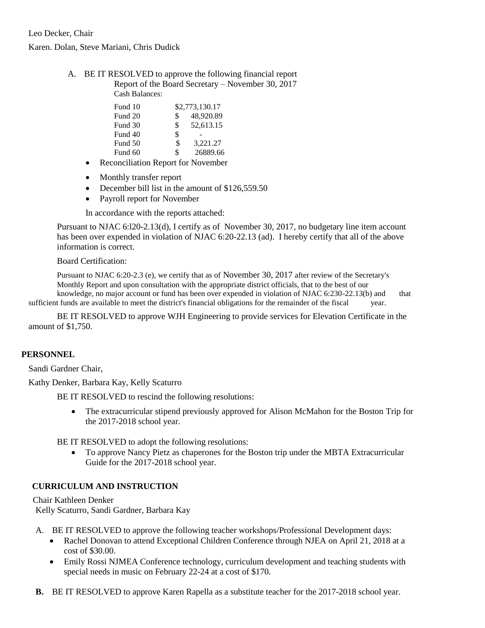### Karen. Dolan, Steve Mariani, Chris Dudick

A. BE IT RESOLVED to approve the following financial report Report of the Board Secretary – November 30, 2017 Cash Balances:

| Fund 10 |               | \$2,773,130.17 |
|---------|---------------|----------------|
| Fund 20 | $\mathcal{S}$ | 48,920.89      |
| Fund 30 | \$            | 52.613.15      |
| Fund 40 | \$            |                |
| Fund 50 | \$            | 3,221.27       |
| Fund 60 | \$            | 26889.66       |

- Reconciliation Report for November
- Monthly transfer report
- December bill list in the amount of \$126,559.50
- Payroll report for November

In accordance with the reports attached:

Pursuant to NJAC 6:l20-2.13(d), I certify as of November 30, 2017, no budgetary line item account has been over expended in violation of NJAC 6:20-22.13 (ad). I hereby certify that all of the above information is correct.

#### Board Certification:

Pursuant to NJAC 6:20-2.3 (e), we certify that as of November 30, 2017 after review of the Secretary's Monthly Report and upon consultation with the appropriate district officials, that to the best of our knowledge, no major account or fund has been over expended in violation of NJAC 6:230-22.13(b) and that

sufficient funds are available to meet the district's financial obligations for the remainder of the fiscal year.

BE IT RESOLVED to approve WJH Engineering to provide services for Elevation Certificate in the amount of \$1,750.

### **PERSONNEL**

Sandi Gardner Chair,

Kathy Denker, Barbara Kay, Kelly Scaturro

BE IT RESOLVED to rescind the following resolutions:

 The extracurricular stipend previously approved for Alison McMahon for the Boston Trip for the 2017-2018 school year.

BE IT RESOLVED to adopt the following resolutions:

 To approve Nancy Pietz as chaperones for the Boston trip under the MBTA Extracurricular Guide for the 2017-2018 school year.

## **CURRICULUM AND INSTRUCTION**

Chair Kathleen Denker Kelly Scaturro, Sandi Gardner, Barbara Kay

- A. BE IT RESOLVED to approve the following teacher workshops/Professional Development days:
	- Rachel Donovan to attend Exceptional Children Conference through NJEA on April 21, 2018 at a cost of \$30.00.
	- Emily Rossi NJMEA Conference technology, curriculum development and teaching students with special needs in music on February 22-24 at a cost of \$170.
- **B.** BE IT RESOLVED to approve Karen Rapella as a substitute teacher for the 2017-2018 school year.